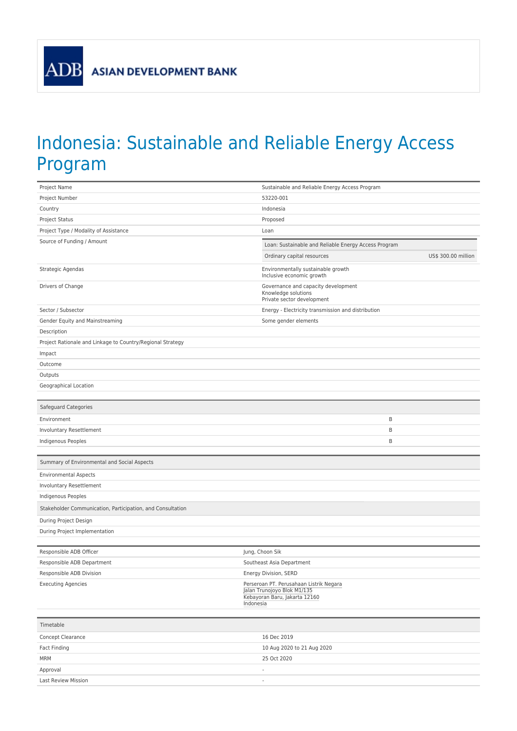## Indonesia: Sustainable and Reliable Energy Access Program

| Project Name                                               | Sustainable and Reliable Energy Access Program                                                                       |
|------------------------------------------------------------|----------------------------------------------------------------------------------------------------------------------|
| Project Number                                             | 53220-001                                                                                                            |
| Country                                                    | Indonesia                                                                                                            |
| Project Status                                             | Proposed                                                                                                             |
| Project Type / Modality of Assistance                      | Loan                                                                                                                 |
| Source of Funding / Amount                                 | Loan: Sustainable and Reliable Energy Access Program                                                                 |
|                                                            | Ordinary capital resources<br>US\$ 300.00 million                                                                    |
| Strategic Agendas                                          | Environmentally sustainable growth<br>Inclusive economic growth                                                      |
| Drivers of Change                                          | Governance and capacity development<br>Knowledge solutions<br>Private sector development                             |
| Sector / Subsector                                         | Energy - Electricity transmission and distribution                                                                   |
| Gender Equity and Mainstreaming                            | Some gender elements                                                                                                 |
| Description                                                |                                                                                                                      |
| Project Rationale and Linkage to Country/Regional Strategy |                                                                                                                      |
| Impact                                                     |                                                                                                                      |
| Outcome                                                    |                                                                                                                      |
| Outputs                                                    |                                                                                                                      |
| Geographical Location                                      |                                                                                                                      |
|                                                            |                                                                                                                      |
| Safeguard Categories                                       |                                                                                                                      |
| Environment                                                | B                                                                                                                    |
| Involuntary Resettlement                                   | B                                                                                                                    |
| Indigenous Peoples                                         | B                                                                                                                    |
|                                                            |                                                                                                                      |
| Summary of Environmental and Social Aspects                |                                                                                                                      |
| <b>Environmental Aspects</b>                               |                                                                                                                      |
| Involuntary Resettlement                                   |                                                                                                                      |
| Indigenous Peoples                                         |                                                                                                                      |
| Stakeholder Communication, Participation, and Consultation |                                                                                                                      |
| During Project Design                                      |                                                                                                                      |
| During Project Implementation                              |                                                                                                                      |
|                                                            |                                                                                                                      |
| Responsible ADB Officer                                    | Jung, Choon Sik                                                                                                      |
| Responsible ADB Department                                 | Southeast Asia Department                                                                                            |
| Responsible ADB Division                                   | Energy Division, SERD                                                                                                |
| <b>Executing Agencies</b>                                  | Perseroan PT. Perusahaan Listrik Negara<br>Jalan Trunojoyo Blok M1/135<br>Kebayoran Baru, Jakarta 12160<br>Indonesia |
|                                                            |                                                                                                                      |
| Timetable                                                  |                                                                                                                      |
| Concept Clearance                                          | 16 Dec 2019                                                                                                          |
| Fact Finding                                               | 10 Aug 2020 to 21 Aug 2020                                                                                           |
| <b>MRM</b>                                                 | 25 Oct 2020                                                                                                          |
| Approval                                                   | $\overline{\phantom{a}}$                                                                                             |
| Last Review Mission                                        | $\overline{a}$                                                                                                       |